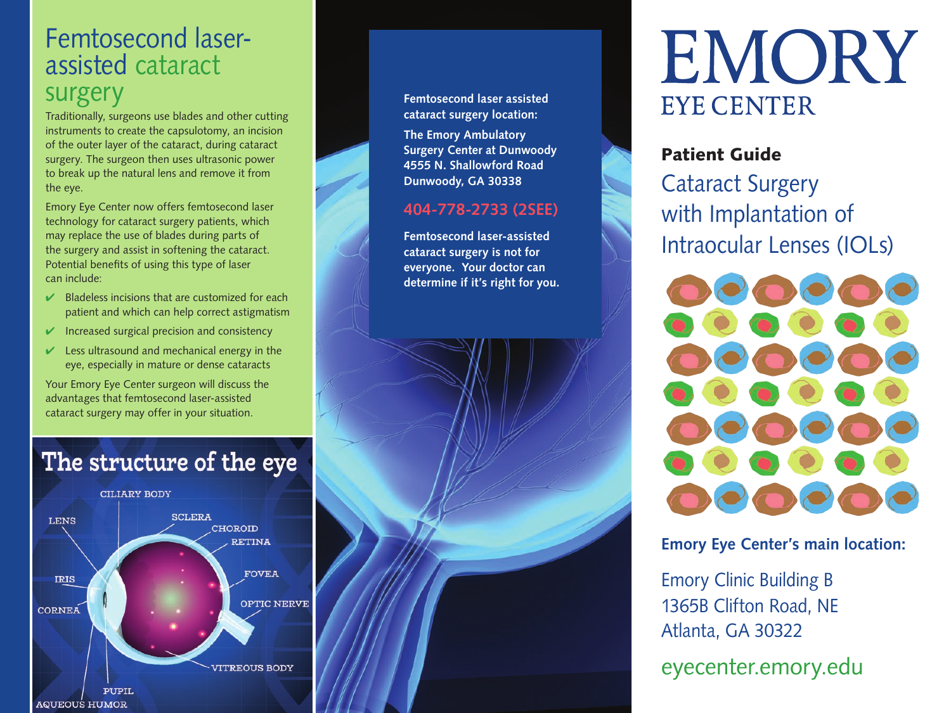## Femtosecond laserassisted cataract surgery

Traditionally, surgeons use blades and other cutting instruments to create the capsulotomy, an incision of the outer layer of the cataract, during cataract surgery. The surgeon then uses ultrasonic power to break up the natural lens and remove it from the eye.

Emory Eye Center now offers femtosecond laser technology for cataract surgery patients, which may replace the use of blades during parts of the surgery and assist in softening the cataract. Potential benefits of using this type of laser can include:

- $\vee$  Bladeless incisions that are customized for each patient and which can help correct astigmatism
- $\vee$  Increased surgical precision and consistency
- $\vee$  Less ultrasound and mechanical energy in the eye, especially in mature or dense cataracts

Your Emory Eye Center surgeon will discuss the advantages that femtosecond laser-assisted cataract surgery may offer in your situation.

# The structure of the eye



**Femtosecond laser assisted cataract surgery location:**

**The Emory Ambulatory Surgery Center at Dunwoody 4555 N. Shallowford Road Dunwoody, GA 30338**

#### **404-778-2733 (2SEE)**

**Femtosecond laser-assisted cataract surgery is not for everyone. Your doctor can determine if it's right for you.**

# EMORY **EYE CENTER**

#### Patient Guide

Cataract Surgery with Implantation of Intraocular Lenses (IOLs)



#### **Emory Eye Center's main location:**

Emory Clinic Building B 1365B Clifton Road, NE Atlanta, GA 30322

eyecenter.emory.edu